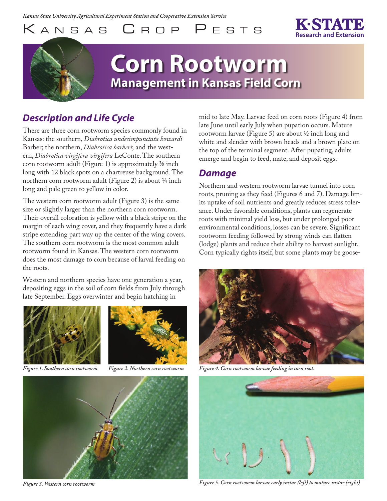KANSAS CROP PESTS

# **Corn Rootworm Management in Kansas Field Corn**

## *Description and Life Cycle*

There are three corn rootworm species commonly found in Kansas: the southern, *Diabrotica undecimpunctata howardi* Barber; the northern, *Diabrotica barberi*; and the western, *Diabrotica virgifera virgifera* LeConte. The southern corn rootworm adult (Figure 1) is approximately  $\frac{3}{8}$  inch long with 12 black spots on a chartreuse background. The northern corn rootworm adult (Figure 2) is about ¼ inch long and pale green to yellow in color.

The western corn rootworm adult (Figure 3) is the same size or slightly larger than the northern corn rootworm. Their overall coloration is yellow with a black stripe on the margin of each wing cover, and they frequently have a dark stripe extending part way up the center of the wing covers. The southern corn rootworm is the most common adult rootworm found in Kansas. The western corn rootworm does the most damage to corn because of larval feeding on the roots.

Western and northern species have one generation a year, depositing eggs in the soil of corn fields from July through late September. Eggs overwinter and begin hatching in



*Figure 1. Southern corn rootworm Figure 2. Northern corn rootworm*





*Figure 3. Western corn rootworm* 

mid to late May. Larvae feed on corn roots (Figure 4) from late June until early July when pupation occurs. Mature rootworm larvae (Figure 5) are about ½ inch long and white and slender with brown heads and a brown plate on the top of the terminal segment. After pupating, adults emerge and begin to feed, mate, and deposit eggs.

#### *Damage*

Northern and western rootworm larvae tunnel into corn roots, pruning as they feed (Figures 6 and 7). Damage limits uptake of soil nutrients and greatly reduces stress tolerance. Under favorable conditions, plants can regenerate roots with minimal yield loss, but under prolonged poor environmental conditions, losses can be severe. Significant rootworm feeding followed by strong winds can flatten (lodge) plants and reduce their ability to harvest sunlight. Corn typically rights itself, but some plants may be goose-



*Figure 4. Corn rootworm larvae feeding in corn root.*



*Figure 5. Corn rootworm larvae early instar (left) to mature instar (right)*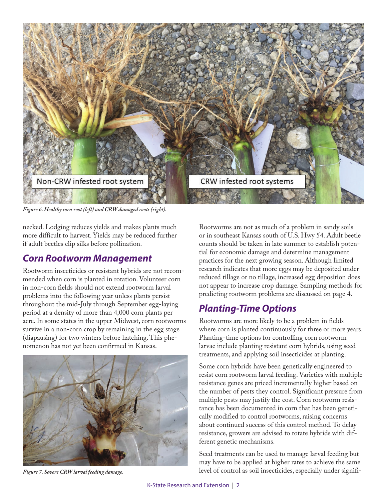

*Figure 6. Healthy corn root (left) and CRW damaged roots (right).* 

necked. Lodging reduces yields and makes plants much more difficult to harvest. Yields may be reduced further if adult beetles clip silks before pollination.

#### *Corn Rootworm Management*

Rootworm insecticides or resistant hybrids are not recommended when corn is planted in rotation. Volunteer corn in non-corn fields should not extend rootworm larval problems into the following year unless plants persist throughout the mid-July through September egg-laying period at a density of more than 4,000 corn plants per acre. In some states in the upper Midwest, corn rootworms survive in a non-corn crop by remaining in the egg stage (diapausing) for two winters before hatching. This phenomenon has not yet been confirmed in Kansas.



*Figure 7. Severe CRW larval feeding damage.* 

Rootworms are not as much of a problem in sandy soils or in southeast Kansas south of U.S. Hwy 54. Adult beetle counts should be taken in late summer to establish potential for economic damage and determine management practices for the next growing season. Although limited research indicates that more eggs may be deposited under reduced tillage or no tillage, increased egg deposition does not appear to increase crop damage. Sampling methods for predicting rootworm problems are discussed on page 4.

### *Planting-Time Options*

Rootworms are more likely to be a problem in fields where corn is planted continuously for three or more years. Planting-time options for controlling corn rootworm larvae include planting resistant corn hybrids, using seed treatments, and applying soil insecticides at planting.

Some corn hybrids have been genetically engineered to resist corn rootworm larval feeding. Varieties with multiple resistance genes are priced incrementally higher based on the number of pests they control. Significant pressure from multiple pests may justify the cost. Corn rootworm resistance has been documented in corn that has been genetically modified to control rootworms, raising concerns about continued success of this control method. To delay resistance, growers are advised to rotate hybrids with different genetic mechanisms.

Seed treatments can be used to manage larval feeding but may have to be applied at higher rates to achieve the same level of control as soil insecticides, especially under signifi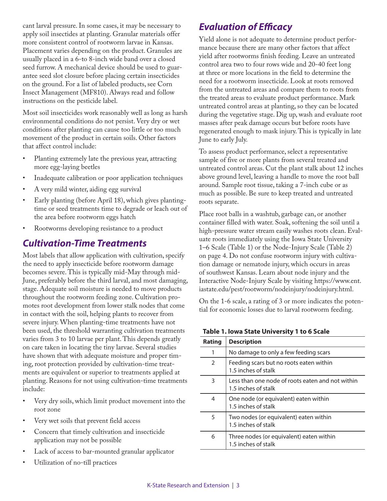cant larval pressure. In some cases, it may be necessary to apply soil insectides at planting. Granular materials offer more consistent control of rootworm larvae in Kansas. Placement varies depending on the product. Granules are usually placed in a 6-to 8-inch wide band over a closed seed furrow. A mechanical device should be used to guarantee seed slot closure before placing certain insecticides on the ground. For a list of labeled products, see Corn Insect Management (MF810). Always read and follow instructions on the pesticide label.

Most soil insecticides work reasonably well as long as harsh environmental conditions do not persist. Very dry or wet conditions after planting can cause too little or too much movement of the product in certain soils. Other factors that affect control include:

- Planting extremely late the previous year, attracting more egg-laying beetles
- Inadequate calibration or poor application techniques
- A very mild winter, aiding egg survival
- Early planting (before April 18), which gives plantingtime or seed treatments time to degrade or leach out of the area before rootworm eggs hatch
- Rootworms developing resistance to a product

#### *Cultivation-Time Treatments*

Most labels that allow application with cultivation, specify the need to apply insecticide before rootworm damage becomes severe. This is typically mid-May through mid-June, preferably before the third larval, and most damaging, stage. Adequate soil moisture is needed to move products throughout the rootworm feeding zone. Cultivation promotes root development from lower stalk nodes that come in contact with the soil, helping plants to recover from severe injury. When planting-time treatments have not been used, the threshold warranting cultivation treatments varies from 3 to 10 larvae per plant. This depends greatly on care taken in locating the tiny larvae. Several studies have shown that with adequate moisture and proper timing, root protection provided by cultivation-time treatments are equivalent or superior to treatments applied at planting. Reasons for not using cultivation-time treatments include:

- Very dry soils, which limit product movement into the root zone
- Very wet soils that prevent field access
- Concern that timely cultivation and insecticide application may not be possible
- Lack of access to bar-mounted granular applicator
- Utilization of no-till practices

### *Evaluation of Efficacy*

Yield alone is not adequate to determine product performance because there are many other factors that affect yield after rootworms finish feeding. Leave an untreated control area two to four rows wide and 20-40 feet long at three or more locations in the field to determine the need for a rootworm insecticide. Look at roots removed from the untreated areas and compare them to roots from the treated areas to evaluate product performance. Mark untreated control areas at planting, so they can be located during the vegetative stage. Dig up, wash and evaluate root masses after peak damage occurs but before roots have regenerated enough to mask injury. This is typically in late June to early July.

To assess product performance, select a representative sample of five or more plants from several treated and untreated control areas. Cut the plant stalk about 12 inches above ground level, leaving a handle to move the root ball around. Sample root tissue, taking a 7-inch cube or as much as possible. Be sure to keep treated and untreated roots separate.

Place root balls in a washtub, garbage can, or another container filled with water. Soak, softening the soil until a high-pressure water stream easily washes roots clean. Evaluate roots immediately using the Iowa State University 1–6 Scale (Table 1) or the Node-Injury Scale (Table 2) on page 4. Do not confuse rootworm injury with cultivation damage or nematode injury, which occurs in areas of southwest Kansas. Learn about node injury and the [Interactive Node-Injury Scale by visiting https://www.ent.](https://www.ent.iastate.edu/pest/rootworm/nodeinjury/nodeinjury.html) iastate.edu/pest/rootworm/nodeinjury/nodeinjury.html.

On the 1-6 scale, a rating of 3 or more indicates the potential for economic losses due to larval rootworm feeding.

| Rating | <b>Description</b>                                                      |
|--------|-------------------------------------------------------------------------|
| 1      | No damage to only a few feeding scars                                   |
| 2      | Feeding scars but no roots eaten within<br>1.5 inches of stalk          |
| 3      | Less than one node of roots eaten and not within<br>1.5 inches of stalk |
| 4      | One node (or equivalent) eaten within<br>1.5 inches of stalk            |
| 5      | Two nodes (or equivalent) eaten within<br>1.5 inches of stalk           |
| 6      | Three nodes (or equivalent) eaten within<br>1.5 inches of stalk         |

**Table 1. Iowa State University 1 to 6 Scale**